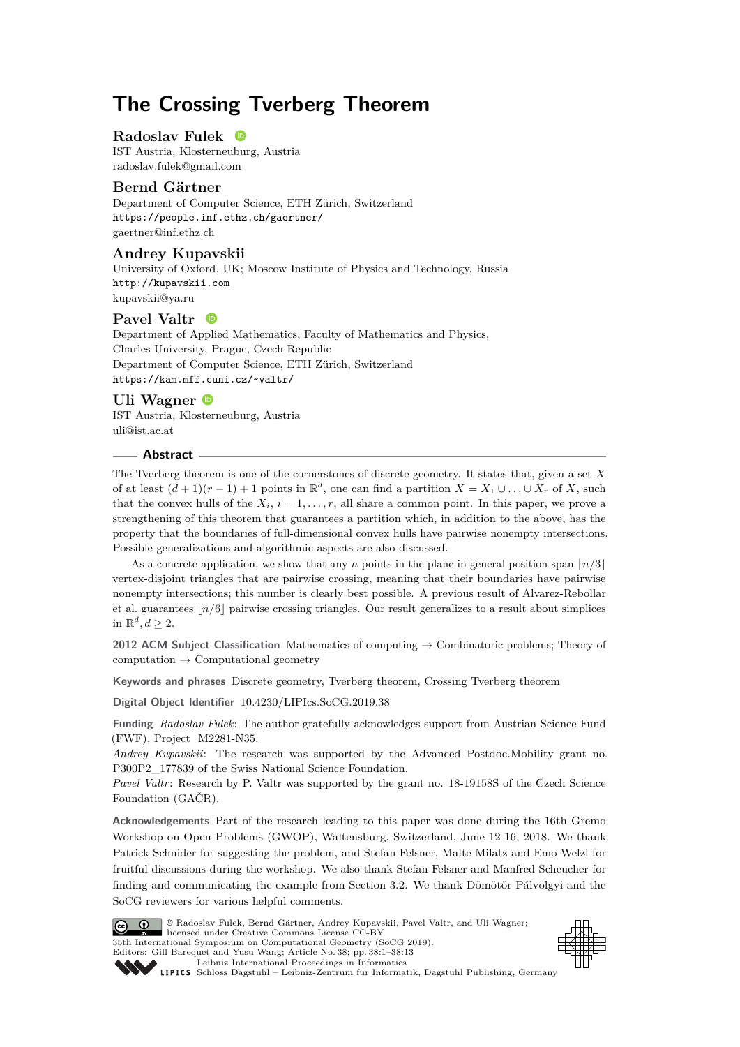# **The Crossing Tverberg Theorem**

## **Radoslav Fulek**

IST Austria, Klosterneuburg, Austria [radoslav.fulek@gmail.com](mailto:radoslav.fulek@gmail.com)

# **Bernd Gärtner**

Department of Computer Science, ETH Zürich, Switzerland <https://people.inf.ethz.ch/gaertner/> [gaertner@inf.ethz.ch](mailto:gaertner@inf.ethz.ch)

# **Andrey Kupavskii**

University of Oxford, UK; Moscow Institute of Physics and Technology, Russia <http://kupavskii.com> [kupavskii@ya.ru](mailto:kupavskii@ya.ru)

## **Pavel Valtr**

Department of Applied Mathematics, Faculty of Mathematics and Physics, Charles University, Prague, Czech Republic Department of Computer Science, ETH Zürich, Switzerland <https://kam.mff.cuni.cz/~valtr/>

# **Uli Wagner**

IST Austria, Klosterneuburg, Austria [uli@ist.ac.at](mailto:uli@ist.ac.at)

#### **Abstract**

The Tverberg theorem is one of the cornerstones of discrete geometry. It states that, given a set *X* of at least  $(d+1)(r-1)+1$  points in  $\mathbb{R}^d$ , one can find a partition  $X = X_1 \cup \ldots \cup X_r$  of X, such that the convex hulls of the  $X_i$ ,  $i = 1, \ldots, r$ , all share a common point. In this paper, we prove a strengthening of this theorem that guarantees a partition which, in addition to the above, has the property that the boundaries of full-dimensional convex hulls have pairwise nonempty intersections. Possible generalizations and algorithmic aspects are also discussed.

As a concrete application, we show that any *n* points in the plane in general position span  $\lfloor n/3 \rfloor$ vertex-disjoint triangles that are pairwise crossing, meaning that their boundaries have pairwise nonempty intersections; this number is clearly best possible. A previous result of Alvarez-Rebollar et al. guarantees  $n/6$  pairwise crossing triangles. Our result generalizes to a result about simplices in  $\mathbb{R}^d, d \geq 2$ .

**2012 ACM Subject Classification** Mathematics of computing → Combinatoric problems; Theory of  $computation \rightarrow Computational geometry$ 

**Keywords and phrases** Discrete geometry, Tverberg theorem, Crossing Tverberg theorem

**Digital Object Identifier** [10.4230/LIPIcs.SoCG.2019.38](https://doi.org/10.4230/LIPIcs.SoCG.2019.38)

**Funding** *Radoslav Fulek*: The author gratefully acknowledges support from Austrian Science Fund (FWF), Project M2281-N35.

*Andrey Kupavskii*: The research was supported by the Advanced Postdoc.Mobility grant no. P300P2\_177839 of the Swiss National Science Foundation.

Pavel Valtr: Research by P. Valtr was supported by the grant no. 18-19158S of the Czech Science Foundation (GAČR).

**Acknowledgements** Part of the research leading to this paper was done during the 16th Gremo Workshop on Open Problems (GWOP), Waltensburg, Switzerland, June 12-16, 2018. We thank Patrick Schnider for suggesting the problem, and Stefan Felsner, Malte Milatz and Emo Welzl for fruitful discussions during the workshop. We also thank Stefan Felsner and Manfred Scheucher for finding and communicating the example from Section [3.2.](#page-10-0) We thank Dömötör Pálvölgyi and the SoCG reviewers for various helpful comments.



© Radoslav Fulek, Bernd Gärtner, Andrey Kupavskii, Pavel Valtr, and Uli Wagner; licensed under Creative Commons License CC-BY 35th International Symposium on Computational Geometry (SoCG 2019). Editors: Gill Barequet and Yusu Wang; Article No. 38; pp. 38:1–38[:13](#page-12-0) [Leibniz International Proceedings in Informatics](https://www.dagstuhl.de/lipics/)



[Schloss Dagstuhl – Leibniz-Zentrum für Informatik, Dagstuhl Publishing, Germany](https://www.dagstuhl.de)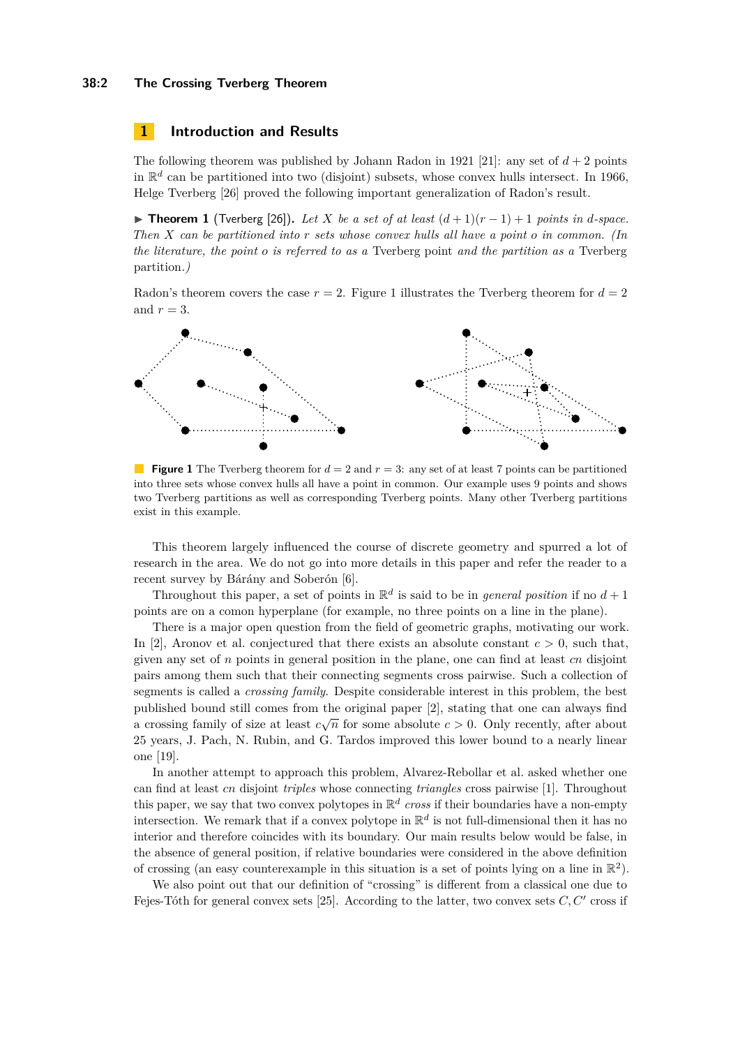#### **38:2 The Crossing Tverberg Theorem**

## **1 Introduction and Results**

The following theorem was published by Johann Radon in 1921 [\[21\]](#page-12-1): any set of  $d+2$  points in  $\mathbb{R}^d$  can be partitioned into two (disjoint) subsets, whose convex hulls intersect. In 1966, Helge Tverberg [\[26\]](#page-12-2) proved the following important generalization of Radon's result.

<span id="page-1-1"></span>**► Theorem 1** (Tverberg [\[26\]](#page-12-2)). Let *X* be a set of at least  $(d+1)(r-1)+1$  points in *d*-space. *Then X can be partitioned into r sets whose convex hulls all have a point o in common. (In the literature, the point o is referred to as a* Tverberg point *and the partition as a* Tverberg partition*.)*

Radon's theorem covers the case  $r = 2$ . Figure [1](#page-1-0) illustrates the Tverberg theorem for  $d = 2$ and  $r = 3$ .

<span id="page-1-0"></span>

**Figure 1** The Tverberg theorem for  $d = 2$  and  $r = 3$ : any set of at least 7 points can be partitioned into three sets whose convex hulls all have a point in common. Our example uses 9 points and shows two Tverberg partitions as well as corresponding Tverberg points. Many other Tverberg partitions exist in this example.

This theorem largely influenced the course of discrete geometry and spurred a lot of research in the area. We do not go into more details in this paper and refer the reader to a recent survey by Bárány and Soberón [\[6\]](#page-11-0).

Throughout this paper, a set of points in  $\mathbb{R}^d$  is said to be in *general position* if no  $d+1$ points are on a comon hyperplane (for example, no three points on a line in the plane).

There is a major open question from the field of geometric graphs, motivating our work. In [\[2\]](#page-11-1), Aronov et al. conjectured that there exists an absolute constant  $c > 0$ , such that, given any set of *n* points in general position in the plane, one can find at least *cn* disjoint pairs among them such that their connecting segments cross pairwise. Such a collection of segments is called a *crossing family*. Despite considerable interest in this problem, the best published bound still comes from the original paper [\[2\]](#page-11-1), stating that one can always find published bound still comes from the original paper [2], stating that one can always find<br>a crossing family of size at least  $c\sqrt{n}$  for some absolute  $c > 0$ . Only recently, after about 25 years, J. Pach, N. Rubin, and G. Tardos improved this lower bound to a nearly linear one [\[19\]](#page-12-3).

In another attempt to approach this problem, Alvarez-Rebollar et al. asked whether one can find at least *cn* disjoint *triples* whose connecting *triangles* cross pairwise [\[1\]](#page-11-2). Throughout this paper, we say that two convex polytopes in  $\mathbb{R}^d$  cross if their boundaries have a non-empty intersection. We remark that if a convex polytope in  $\mathbb{R}^d$  is not full-dimensional then it has no interior and therefore coincides with its boundary. Our main results below would be false, in the absence of general position, if relative boundaries were considered in the above definition of crossing (an easy counterexample in this situation is a set of points lying on a line in  $\mathbb{R}^2$ ).

We also point out that our definition of "crossing" is different from a classical one due to Fejes-Tóth for general convex sets  $[25]$ . According to the latter, two convex sets  $C, C'$  cross if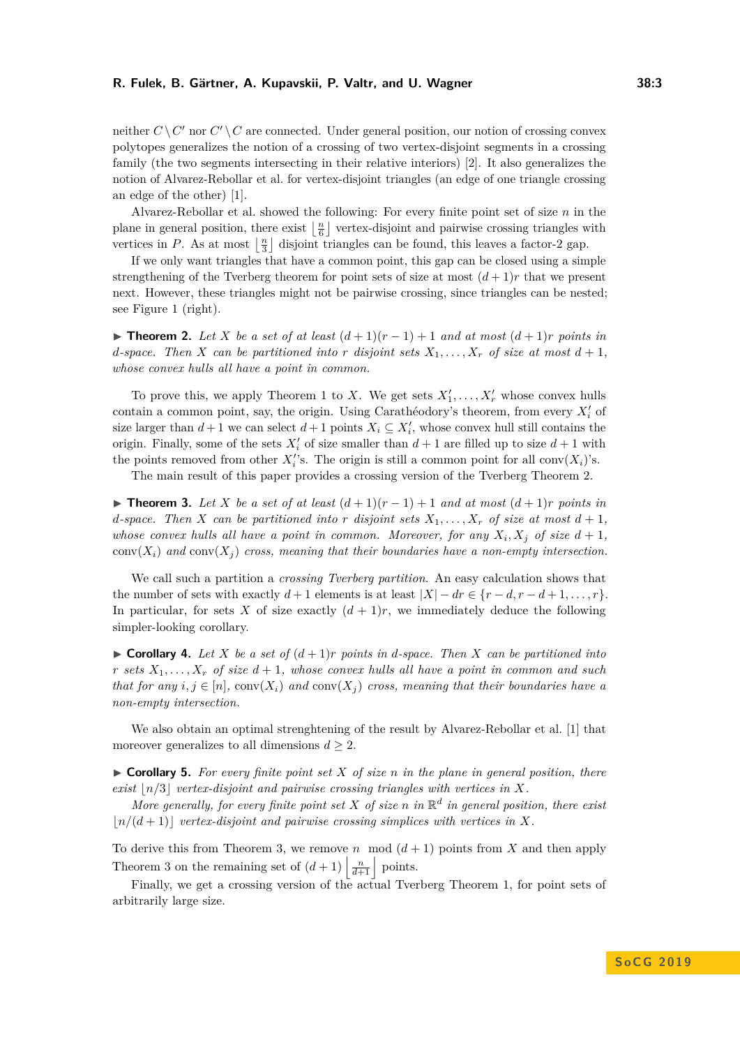#### **R. Fulek, B. Gärtner, A. Kupavskii, P. Valtr, and U. Wagner 38:3**

neither  $C \setminus C'$  nor  $C' \setminus C$  are connected. Under general position, our notion of crossing convex polytopes generalizes the notion of a crossing of two vertex-disjoint segments in a crossing family (the two segments intersecting in their relative interiors) [\[2\]](#page-11-1). It also generalizes the notion of Alvarez-Rebollar et al. for vertex-disjoint triangles (an edge of one triangle crossing an edge of the other) [\[1\]](#page-11-2).

Alvarez-Rebollar et al. showed the following: For every finite point set of size *n* in the plane in general position, there exist  $\lfloor \frac{n}{6} \rfloor$  vertex-disjoint and pairwise crossing triangles with vertices in *P*. As at most  $\lfloor \frac{n}{3} \rfloor$  disjoint triangles can be found, this leaves a factor-2 gap.

If we only want triangles that have a common point, this gap can be closed using a simple strengthening of the Tverberg theorem for point sets of size at most  $(d+1)r$  that we present next. However, these triangles might not be pairwise crossing, since triangles can be nested; see Figure [1](#page-1-0) (right).

<span id="page-2-0"></span>**► Theorem 2.** Let *X* be a set of at least  $(d+1)(r-1)+1$  and at most  $(d+1)r$  points in *d*-space. Then *X* can be partitioned into *r* disjoint sets  $X_1, \ldots, X_r$  of size at most  $d+1$ , *whose convex hulls all have a point in common.*

To prove this, we apply Theorem [1](#page-1-1) to *X*. We get sets  $X'_1, \ldots, X'_r$  whose convex hulls contain a common point, say, the origin. Using Carathéodory's theorem, from every  $X_i'$  of size larger than  $d+1$  we can select  $d+1$  points  $X_i \subseteq X'_i$ , whose convex hull still contains the origin. Finally, some of the sets  $X_i'$  of size smaller than  $d+1$  are filled up to size  $d+1$  with the points removed from other  $X_i$ 's. The origin is still a common point for all conv $(X_i)$ 's.

The main result of this paper provides a crossing version of the Tverberg Theorem [2.](#page-2-0)

<span id="page-2-1"></span>▶ **Theorem 3.** Let *X* be a set of at least  $(d+1)(r-1)+1$  and at most  $(d+1)r$  points in *d*-space. Then *X* can be partitioned into *r* disjoint sets  $X_1, \ldots, X_r$  of size at most  $d+1$ , *whose convex hulls all have a point in common. Moreover, for any*  $X_i, X_j$  of size  $d+1$ ,  $conv(X_i)$  and  $conv(X_i)$  cross, meaning that their boundaries have a non-empty intersection.

We call such a partition a *crossing Tverberg partition*. An easy calculation shows that the number of sets with exactly  $d+1$  elements is at least  $|X| - dr \in \{r-d, r-d+1, \ldots, r\}.$ In particular, for sets X of size exactly  $(d+1)r$ , we immediately deduce the following simpler-looking corollary.

<span id="page-2-2"></span> $\triangleright$  **Corollary 4.** Let X be a set of  $(d+1)r$  points in d-space. Then X can be partitioned into *r sets*  $X_1, \ldots, X_r$  *of size*  $d+1$ *, whose convex hulls all have a point in common and such that for any*  $i, j \in [n]$ ,  $conv(X_i)$  and  $conv(X_j)$  *cross, meaning that their boundaries have a non-empty intersection.*

We also obtain an optimal strenghtening of the result by Alvarez-Rebollar et al. [\[1\]](#page-11-2) that moreover generalizes to all dimensions  $d \geq 2$ .

 $\triangleright$  **Corollary 5.** For every finite point set X of size *n* in the plane in general position, there *exist*  $|n/3|$  *vertex-disjoint and pairwise crossing triangles with vertices in*  $X$ *.* 

*More generally, for every finite point set*  $X$  *of size*  $n$  *in*  $\mathbb{R}^d$  *in general position, there exist*  $\lfloor n/(d+1) \rfloor$  *vertex-disjoint and pairwise crossing simplices with vertices in X.* 

To derive this from Theorem [3,](#page-2-1) we remove *n* mod  $(d+1)$  points from X and then apply Theorem [3](#page-2-1) on the remaining set of  $(d+1) \left| \frac{n}{d+1} \right|$  points.

Finally, we get a crossing version of the actual Tverberg Theorem [1,](#page-1-1) for point sets of arbitrarily large size.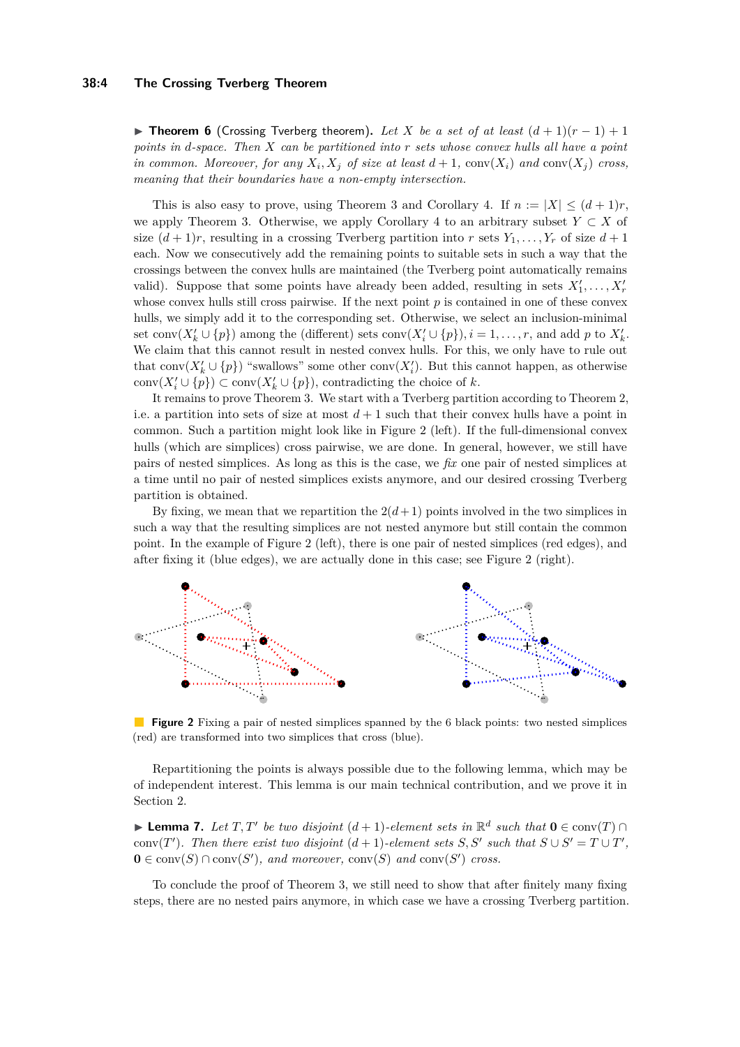#### **38:4 The Crossing Tverberg Theorem**

**► Theorem 6** (Crossing Tverberg theorem). Let X be a set of at least  $(d+1)(r-1)+1$ *points in d-space. Then X can be partitioned into r sets whose convex hulls all have a point in common. Moreover, for any*  $X_i, X_j$  *of size at least*  $d+1$ ,  $conv(X_i)$  *and*  $conv(X_j)$  *cross, meaning that their boundaries have a non-empty intersection.*

This is also easy to prove, using Theorem [3](#page-2-1) and Corollary [4.](#page-2-2) If  $n := |X| \leq (d+1)r$ , we apply Theorem [3.](#page-2-1) Otherwise, we apply Corollary [4](#page-2-2) to an arbitrary subset  $Y \subset X$  of size  $(d+1)r$ , resulting in a crossing Tverberg partition into *r* sets  $Y_1, \ldots, Y_r$  of size  $d+1$ each. Now we consecutively add the remaining points to suitable sets in such a way that the crossings between the convex hulls are maintained (the Tverberg point automatically remains valid). Suppose that some points have already been added, resulting in sets  $X'_1, \ldots, X'_r$ whose convex hulls still cross pairwise. If the next point *p* is contained in one of these convex hulls, we simply add it to the corresponding set. Otherwise, we select an inclusion-minimal set conv $(X'_{k} \cup \{p\})$  among the (different) sets conv $(X'_{i} \cup \{p\}), i = 1, \ldots, r$ , and add  $p$  to  $X'_{k}$ . We claim that this cannot result in nested convex hulls. For this, we only have to rule out that conv $(X'_k \cup \{p\})$  "swallows" some other conv $(X'_i)$ . But this cannot happen, as otherwise  $conv(X'_{i} \cup \{p\}) \subset conv(X'_{k} \cup \{p\}),$  contradicting the choice of *k*.

It remains to prove Theorem [3.](#page-2-1) We start with a Tverberg partition according to Theorem [2,](#page-2-0) i.e. a partition into sets of size at most  $d+1$  such that their convex hulls have a point in common. Such a partition might look like in Figure [2](#page-3-0) (left). If the full-dimensional convex hulls (which are simplices) cross pairwise, we are done. In general, however, we still have pairs of nested simplices. As long as this is the case, we *fix* one pair of nested simplices at a time until no pair of nested simplices exists anymore, and our desired crossing Tverberg partition is obtained.

By fixing, we mean that we repartition the  $2(d+1)$  points involved in the two simplices in such a way that the resulting simplices are not nested anymore but still contain the common point. In the example of Figure [2](#page-3-0) (left), there is one pair of nested simplices (red edges), and after fixing it (blue edges), we are actually done in this case; see Figure [2](#page-3-0) (right).

<span id="page-3-0"></span>

**Figure 2** Fixing a pair of nested simplices spanned by the 6 black points: two nested simplices (red) are transformed into two simplices that cross (blue).

Repartitioning the points is always possible due to the following lemma, which may be of independent interest. This lemma is our main technical contribution, and we prove it in Section [2.](#page-4-0)

<span id="page-3-1"></span>**Demma 7.** Let  $T, T'$  be two disjoint  $(d+1)$ -element sets in  $\mathbb{R}^d$  such that  $\mathbf{0} \in \text{conv}(T) \cap \mathbb{R}^d$ conv(*T*<sup>'</sup>). Then there exist two disjoint  $(d+1)$ -element sets *S*, *S*<sup>'</sup> such that  $S \cup S' = T \cup T'$ ,  $\mathbf{0} \in \text{conv}(S) \cap \text{conv}(S')$ , and moreover,  $\text{conv}(S)$  and  $\text{conv}(S')$  cross.

To conclude the proof of Theorem [3,](#page-2-1) we still need to show that after finitely many fixing steps, there are no nested pairs anymore, in which case we have a crossing Tverberg partition.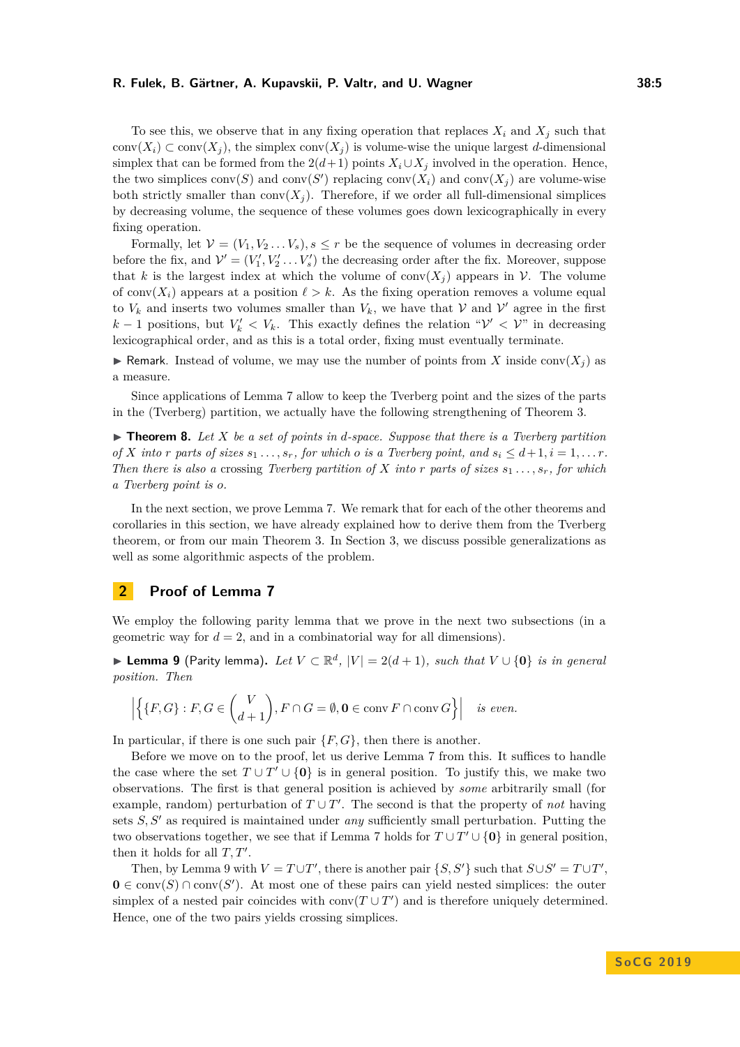#### **R. Fulek, B. Gärtner, A. Kupavskii, P. Valtr, and U. Wagner 38:5**

To see this, we observe that in any fixing operation that replaces  $X_i$  and  $X_j$  such that conv $(X_i) \subset \text{conv}(X_i)$ , the simplex conv $(X_i)$  is volume-wise the unique largest *d*-dimensional simplex that can be formed from the  $2(d+1)$  points  $X_i \cup X_j$  involved in the operation. Hence, the two simplices  $conv(S)$  and  $conv(S')$  replacing  $conv(X_i)$  and  $conv(X_j)$  are volume-wise both strictly smaller than  $conv(X_i)$ . Therefore, if we order all full-dimensional simplices by decreasing volume, the sequence of these volumes goes down lexicographically in every fixing operation.

Formally, let  $V = (V_1, V_2, \ldots, V_s), s \leq r$  be the sequence of volumes in decreasing order before the fix, and  $\mathcal{V}' = (V'_1, V'_2 \dots V'_s)$  the decreasing order after the fix. Moreover, suppose that *k* is the largest index at which the volume of conv $(X_i)$  appears in V. The volume of conv $(X_i)$  appears at a position  $\ell > k$ . As the fixing operation removes a volume equal to  $V_k$  and inserts two volumes smaller than  $V_k$ , we have that  $V$  and  $V'$  agree in the first *k* − 1 positions, but  $V'_k$  <  $V_k$ . This exactly defines the relation " $V'$  <  $V''$  in decreasing lexicographical order, and as this is a total order, fixing must eventually terminate.

**If Remark.** Instead of volume, we may use the number of points from X inside conv $(X_i)$  as a measure.

Since applications of Lemma [7](#page-3-1) allow to keep the Tverberg point and the sizes of the parts in the (Tverberg) partition, we actually have the following strengthening of Theorem [3.](#page-2-1)

 $\triangleright$  **Theorem 8.** Let X be a set of points in d-space. Suppose that there is a Tverberg partition *of X into r parts of sizes*  $s_1 \ldots, s_r$ , *for which o is a Tverberg point, and*  $s_i \leq d+1, i = 1, \ldots r$ . *Then there is also a crossing Tverberg partition of X into r parts* of *sizes*  $s_1 \ldots, s_r$ *, for which a Tverberg point is o.*

In the next section, we prove Lemma [7.](#page-3-1) We remark that for each of the other theorems and corollaries in this section, we have already explained how to derive them from the Tverberg theorem, or from our main Theorem [3.](#page-2-1) In Section [3,](#page-8-0) we discuss possible generalizations as well as some algorithmic aspects of the problem.

# <span id="page-4-0"></span>**2 Proof of Lemma [7](#page-3-1)**

We employ the following parity lemma that we prove in the next two subsections (in a geometric way for  $d = 2$ , and in a combinatorial way for all dimensions).

<span id="page-4-1"></span>▶ **Lemma 9** (Parity lemma). Let  $V \subset \mathbb{R}^d$ ,  $|V| = 2(d+1)$ , such that  $V \cup \{0\}$  is in general *position. Then*

$$
\left| \left\{ \{F, G\} : F, G \in \binom{V}{d+1}, F \cap G = \emptyset, \mathbf{0} \in \operatorname{conv} F \cap \operatorname{conv} G \right\} \right| \text{ is even.}
$$

In particular, if there is one such pair  $\{F, G\}$ , then there is another.

Before we move on to the proof, let us derive Lemma [7](#page-3-1) from this. It suffices to handle the case where the set  $T \cup T' \cup \{0\}$  is in general position. To justify this, we make two observations. The first is that general position is achieved by *some* arbitrarily small (for example, random) perturbation of  $T \cup T'$ . The second is that the property of *not* having sets  $S, S'$  as required is maintained under *any* sufficiently small perturbation. Putting the two observations together, we see that if Lemma [7](#page-3-1) holds for  $T \cup T' \cup \{0\}$  in general position, then it holds for all  $T, T'$ .

Then, by Lemma [9](#page-4-1) with  $V = T \cup T'$ , there is another pair  $\{S, S'\}$  such that  $S \cup S' = T \cup T'$ ,  $\mathbf{0} \in \text{conv}(S) \cap \text{conv}(S')$ . At most one of these pairs can yield nested simplices: the outer simplex of a nested pair coincides with  $conv(T \cup T')$  and is therefore uniquely determined. Hence, one of the two pairs yields crossing simplices.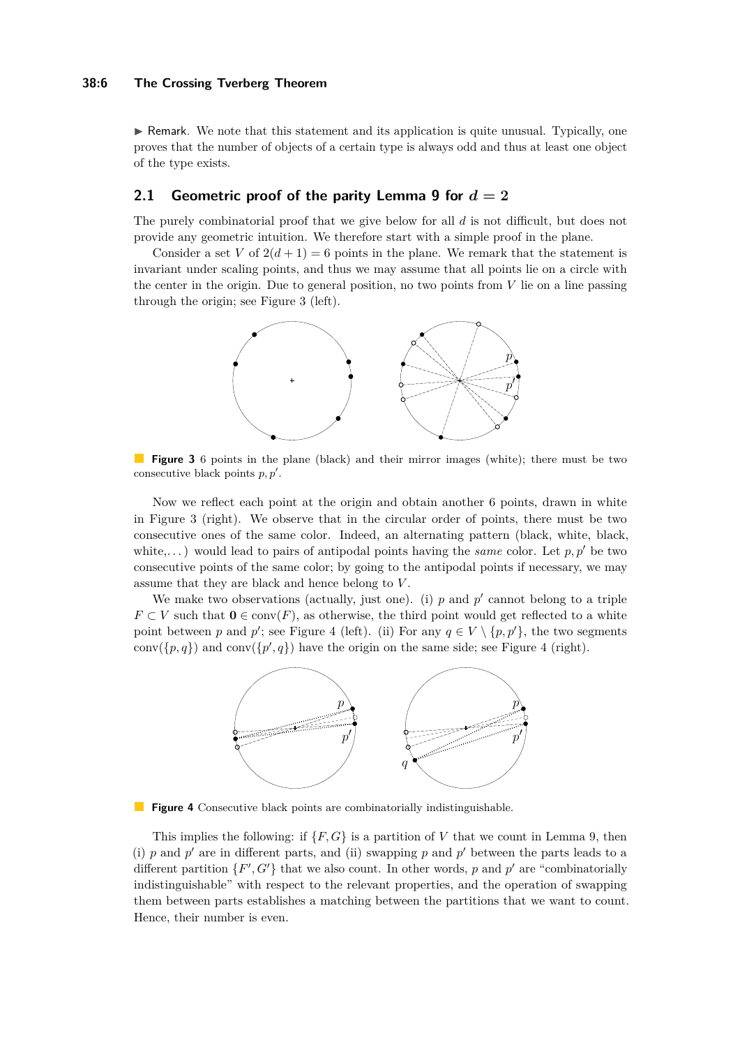$\triangleright$  Remark. We note that this statement and its application is quite unusual. Typically, one proves that the number of objects of a certain type is always odd and thus at least one object of the type exists.

### **2.1 Geometric proof of the parity Lemma [9](#page-4-1) for**  $d = 2$

The purely combinatorial proof that we give below for all *d* is not difficult, but does not provide any geometric intuition. We therefore start with a simple proof in the plane.

<span id="page-5-0"></span>Consider a set V of  $2(d+1) = 6$  points in the plane. We remark that the statement is invariant under scaling points, and thus we may assume that all points lie on a circle with the center in the origin. Due to general position, no two points from *V* lie on a line passing through the origin; see Figure [3](#page-5-0) (left).



**Figure 3** 6 points in the plane (black) and their mirror images (white); there must be two consecutive black points  $p, p'$ .

Now we reflect each point at the origin and obtain another 6 points, drawn in white in Figure [3](#page-5-0) (right). We observe that in the circular order of points, there must be two consecutive ones of the same color. Indeed, an alternating pattern (black, white, black, white,...) would lead to pairs of antipodal points having the *same* color. Let  $p, p'$  be two consecutive points of the same color; by going to the antipodal points if necessary, we may assume that they are black and hence belong to *V* .

<span id="page-5-1"></span>We make two observations (actually, just one). (i)  $p$  and  $p'$  cannot belong to a triple *F* ⊂ *V* such that  $\mathbf{0} \in \text{conv}(F)$ , as otherwise, the third point would get reflected to a white point between *p* and *p*'; see Figure [4](#page-5-1) (left). (ii) For any  $q \in V \setminus \{p, p'\}$ , the two segments  $conv({p, q})$  and  $conv({p', q})$  have the origin on the same side; see Figure [4](#page-5-1) (right).



**Figure 4** Consecutive black points are combinatorially indistinguishable.

This implies the following: if  $\{F, G\}$  is a partition of *V* that we count in Lemma [9,](#page-4-1) then (i)  $p$  and  $p'$  are in different parts, and (ii) swapping  $p$  and  $p'$  between the parts leads to a different partition  $\{F', G'\}$  that we also count. In other words, p and p' are "combinatorially indistinguishable" with respect to the relevant properties, and the operation of swapping them between parts establishes a matching between the partitions that we want to count. Hence, their number is even.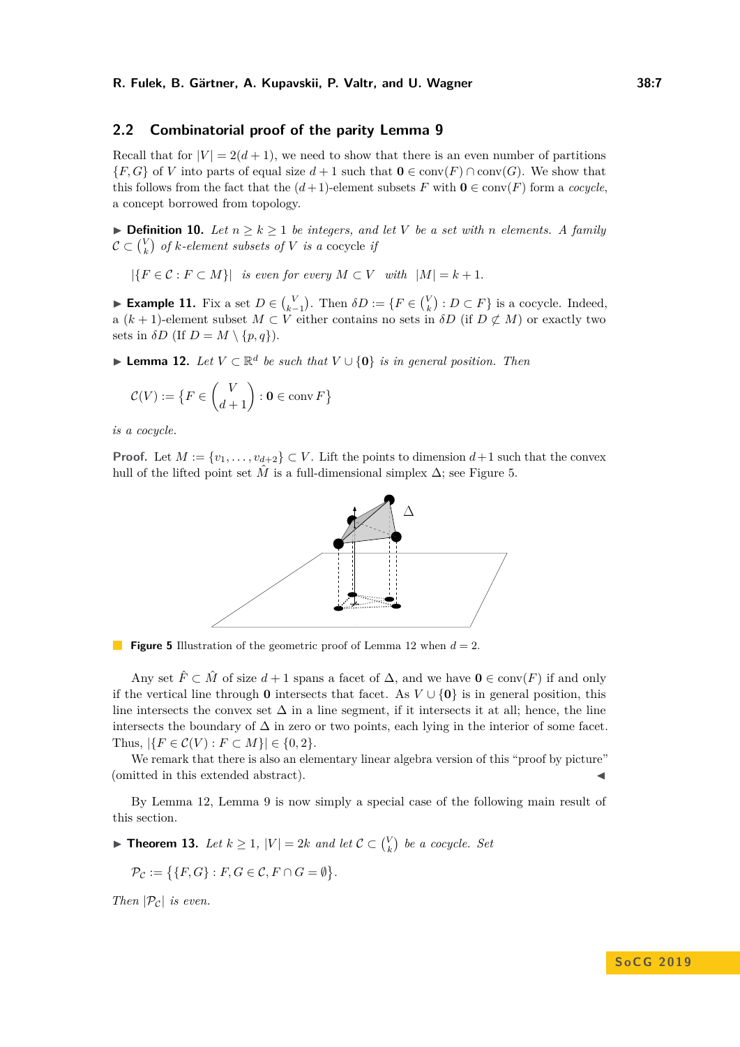## **2.2 Combinatorial proof of the parity Lemma [9](#page-4-1)**

Recall that for  $|V| = 2(d+1)$ , we need to show that there is an even number of partitions {*F, G*} of *V* into parts of equal size *d* + 1 such that **0** ∈ conv(*F*) ∩ conv(*G*). We show that this follows from the fact that the  $(d+1)$ -element subsets *F* with  $\mathbf{0} \in \text{conv}(F)$  form a *cocycle*, a concept borrowed from topology.

▶ **Definition 10.** *Let*  $n \geq k \geq 1$  *be integers, and let V be a set with n elements.* A family  $\mathcal{C} \subset {V \choose k}$  *of*  $k$ -element subsets of  $V$  is a cocycle if

 $|{F \in \mathcal{C} : F \subset M}|$  *is even for every*  $M \subset V$  *with*  $|M| = k + 1$ .

► **Example 11.** Fix a set  $D \in \binom{V}{k-1}$ . Then  $\delta D := \{F \in \binom{V}{k} : D \subset F\}$  is a cocycle. Indeed, a  $(k + 1)$ -element subset  $M \subset V$  either contains no sets in  $\delta D$  (if  $D \not\subset M$ ) or exactly two sets in  $\delta D$  (If  $D = M \setminus \{p, q\}$ ).

<span id="page-6-1"></span>▶ **Lemma 12.** *Let*  $V \subset \mathbb{R}^d$  *be such that*  $V \cup \{0\}$  *is in general position. Then* 

$$
\mathcal{C}(V) := \{ F \in \binom{V}{d+1} : \mathbf{0} \in \operatorname{conv} F \}
$$

*is a cocycle.*

<span id="page-6-0"></span>**Proof.** Let  $M := \{v_1, \ldots, v_{d+2}\} \subset V$ . Lift the points to dimension  $d+1$  such that the convex hull of the lifted point set  $\hat{M}$  is a full-dimensional simplex  $\Delta$ ; see Figure [5.](#page-6-0)



**Figure 5** Illustration of the geometric proof of Lemma [12](#page-6-1) when *d* = 2.

Any set  $\hat{F} \subset \hat{M}$  of size  $d+1$  spans a facet of  $\Delta$ , and we have  $\mathbf{0} \in \text{conv}(F)$  if and only if the vertical line through **0** intersects that facet. As  $V \cup \{0\}$  is in general position, this line intersects the convex set  $\Delta$  in a line segment, if it intersects it at all; hence, the line intersects the boundary of  $\Delta$  in zero or two points, each lying in the interior of some facet. Thus,  $|\{F \in C(V) : F \subset M\}| \in \{0, 2\}.$ 

We remark that there is also an elementary linear algebra version of this "proof by picture" (omitted in this extended abstract).

By Lemma [12,](#page-6-1) Lemma [9](#page-4-1) is now simply a special case of the following main result of this section.

<span id="page-6-2"></span>▶ **Theorem 13.** *Let*  $k \geq 1$ ,  $|V| = 2k$  *and let*  $C \subset {V \choose k}$  *be a cocycle. Set* 

$$
\mathcal{P}_{\mathcal{C}} := \{ \{ F, G \} : F, G \in \mathcal{C}, F \cap G = \emptyset \}.
$$

*Then*  $|\mathcal{P}_c|$  *is even.*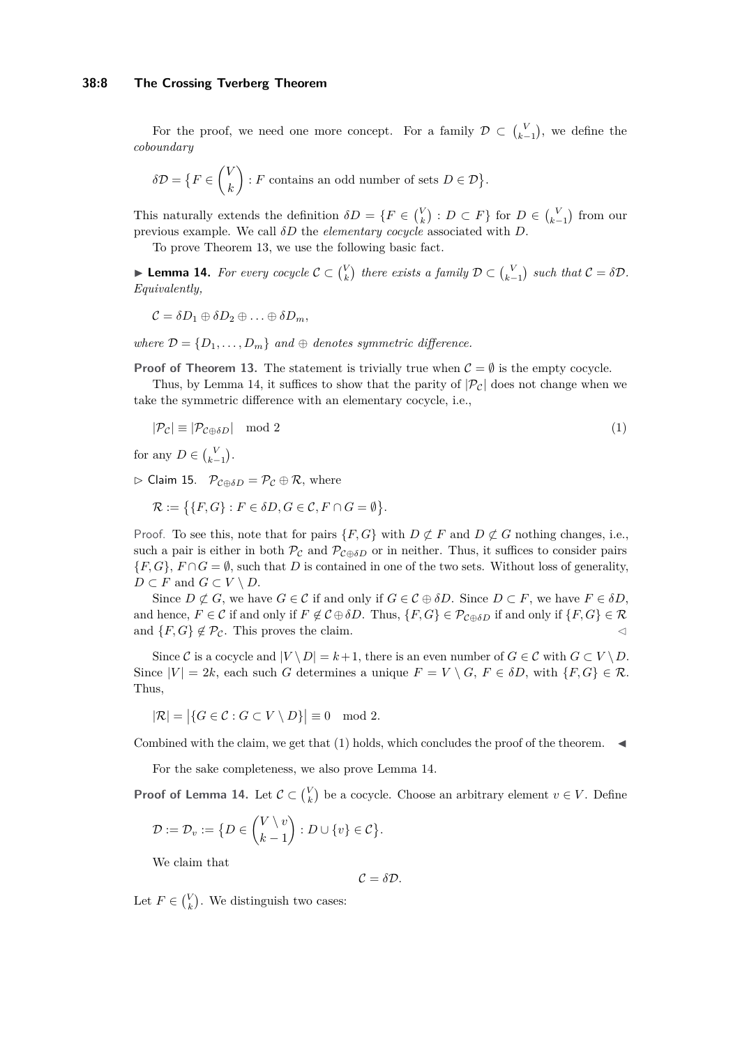For the proof, we need one more concept. For a family  $\mathcal{D} \subset {V \choose k-1}$ , we define the *coboundary*

$$
\delta \mathcal{D} = \{ F \in \binom{V}{k} : F \text{ contains an odd number of sets } D \in \mathcal{D} \}.
$$

This naturally extends the definition  $\delta D = \{F \in {V \choose k} : D \subset F\}$  for  $D \in {V \choose k-1}$  from our previous example. We call *δD* the *elementary cocycle* associated with *D*.

To prove Theorem [13,](#page-6-2) we use the following basic fact.

<span id="page-7-0"></span>**Example 14.** For every cocycle  $C \subset {V \choose k}$  there exists a family  $D \subset {V \choose k-1}$  such that  $C = \delta D$ . *Equivalently,*

$$
C = \delta D_1 \oplus \delta D_2 \oplus \ldots \oplus \delta D_m,
$$

*where*  $\mathcal{D} = \{D_1, \ldots, D_m\}$  *and*  $\oplus$  *denotes symmetric difference.* 

**Proof of Theorem [13.](#page-6-2)** The statement is trivially true when  $C = \emptyset$  is the empty cocycle.

Thus, by Lemma [14,](#page-7-0) it suffices to show that the parity of  $|\mathcal{P}_c|$  does not change when we take the symmetric difference with an elementary cocycle, i.e.,

<span id="page-7-1"></span>
$$
|\mathcal{P}_{\mathcal{C}}| \equiv |\mathcal{P}_{\mathcal{C}\oplus\delta D}| \mod 2 \tag{1}
$$

for any  $D \in {V \choose k-1}$ .

 $\triangleright$  Claim 15.  $\mathcal{P}_{\mathcal{C} \oplus \delta D} = \mathcal{P}_{\mathcal{C}} \oplus \mathcal{R}$ , where

$$
\mathcal{R} := \{ \{F, G\} : F \in \delta D, G \in \mathcal{C}, F \cap G = \emptyset \}.
$$

Proof. To see this, note that for pairs  $\{F, G\}$  with  $D \not\subset F$  and  $D \not\subset G$  nothing changes, i.e., such a pair is either in both  $\mathcal{P}_{\mathcal{C}}$  and  $\mathcal{P}_{\mathcal{C}\oplus\delta D}$  or in neither. Thus, it suffices to consider pairs  ${F, G}$ ,  $F \cap G = \emptyset$ , such that *D* is contained in one of the two sets. Without loss of generality, *D* ⊂ *F* and  $G$  ⊂  $V \setminus D$ .

Since  $D \not\subset G$ , we have  $G \in \mathcal{C}$  if and only if  $G \in \mathcal{C} \oplus \delta D$ . Since  $D \subset F$ , we have  $F \in \delta D$ , and hence,  $F \in \mathcal{C}$  if and only if  $F \notin \mathcal{C} \oplus \delta D$ . Thus,  $\{F, G\} \in \mathcal{P}_{\mathcal{C} \oplus \delta D}$  if and only if  $\{F, G\} \in \mathcal{R}$ and  $\{F, G\} \notin \mathcal{P}_{\mathcal{C}}$ . This proves the claim.

Since C is a cocycle and  $|V \setminus D| = k + 1$ , there is an even number of  $G \in C$  with  $G \subset V \setminus D$ . Since  $|V| = 2k$ , each such *G* determines a unique  $F = V \setminus G$ ,  $F \in \delta D$ , with  $\{F, G\} \in \mathcal{R}$ . Thus,

$$
|\mathcal{R}| = |\{G \in \mathcal{C} : G \subset V \setminus D\}| \equiv 0 \mod 2.
$$

Combined with the claim, we get that  $(1)$  holds, which concludes the proof of the theorem.

For the sake completeness, we also prove Lemma [14.](#page-7-0)

**Proof of Lemma [14.](#page-7-0)** Let  $\mathcal{C} \subset \binom{V}{k}$  be a cocycle. Choose an arbitrary element  $v \in V$ . Define

$$
\mathcal{D} := \mathcal{D}_v := \big\{ D \in \binom{V \setminus v}{k-1} : D \cup \{v\} \in \mathcal{C} \big\}.
$$

We claim that

 $C = \delta \mathcal{D}$ .

Let  $F \in \binom{V}{k}$ . We distinguish two cases: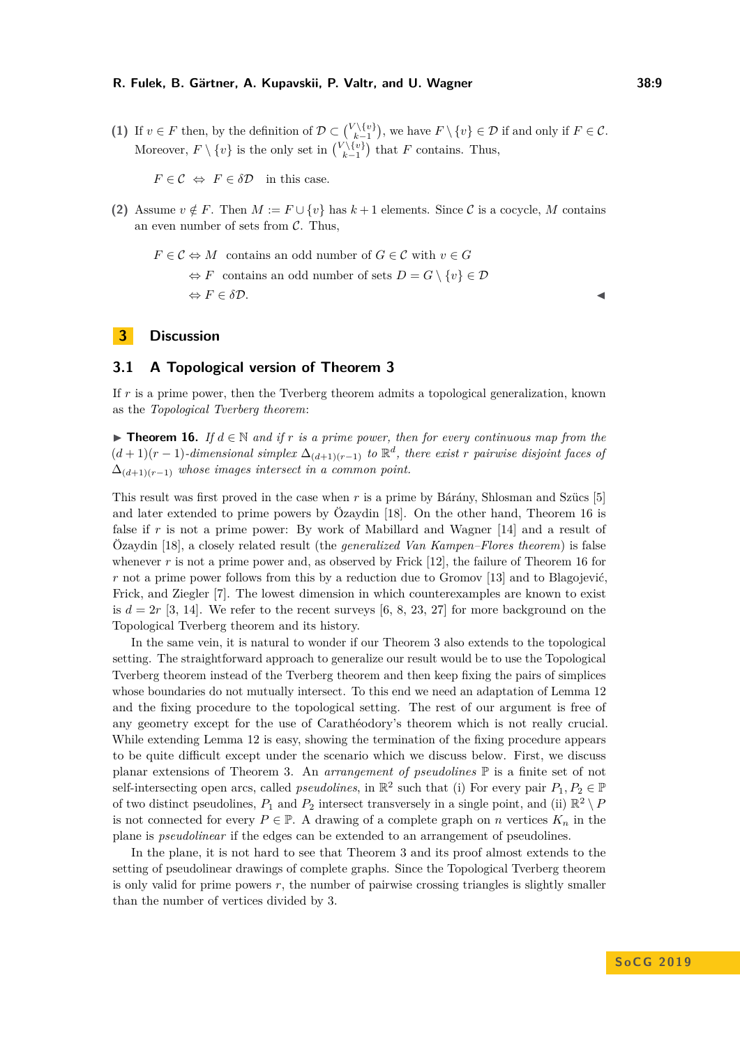(1) If  $v \in F$  then, by the definition of  $\mathcal{D} \subset {V \setminus \{v\} \choose k-1}$ , we have  $F \setminus \{v\} \in \mathcal{D}$  if and only if  $F \in \mathcal{C}$ . Moreover,  $F \setminus \{v\}$  is the only set in  $\binom{V \setminus \{v\}}{k-1}$  that  $F$  contains. Thus,

 $F \in \mathcal{C} \Leftrightarrow F \in \delta \mathcal{D}$  in this case.

(2) Assume  $v \notin F$ . Then  $M := F \cup \{v\}$  has  $k+1$  elements. Since C is a cocycle, M contains an even number of sets from  $\mathcal{C}$ . Thus,

$$
F \in C \Leftrightarrow M \text{ contains an odd number of } G \in C \text{ with } v \in G
$$

$$
\Leftrightarrow F \text{ contains an odd number of sets } D = G \setminus \{v\} \in \mathcal{D}
$$

$$
\Leftrightarrow F \in \delta \mathcal{D}.
$$

# <span id="page-8-0"></span>**3 Discussion**

# **3.1 A Topological version of Theorem [3](#page-2-1)**

If *r* is a prime power, then the Tverberg theorem admits a topological generalization, known as the *Topological Tverberg theorem*:

<span id="page-8-1"></span>**► Theorem 16.** *If*  $d \in \mathbb{N}$  and if  $r$  is a prime power, then for every continuous map from the  $(d+1)(r-1)$ *-dimensional simplex*  $\Delta_{(d+1)(r-1)}$  *to*  $\mathbb{R}^d$ , *there exist r pairwise disjoint faces of* ∆(*d*+1)(*r*−1) *whose images intersect in a common point.*

This result was first proved in the case when *r* is a prime by Bárány, Shlosman and Szücs [\[5\]](#page-11-3) and later extended to prime powers by Özaydin [\[18\]](#page-12-5). On the other hand, Theorem [16](#page-8-1) is false if r is not a prime power: By work of Mabillard and Wagner [\[14\]](#page-12-6) and a result of Özaydin [\[18\]](#page-12-5), a closely related result (the *generalized Van Kampen–Flores theorem*) is false whenever r is not a prime power and, as observed by Frick [\[12\]](#page-12-7), the failure of Theorem [16](#page-8-1) for *r* not a prime power follows from this by a reduction due to Gromov [\[13\]](#page-12-8) and to Blagojević, Frick, and Ziegler [\[7\]](#page-11-4). The lowest dimension in which counterexamples are known to exist is  $d = 2r$  [\[3,](#page-11-5) [14\]](#page-12-6). We refer to the recent surveys  $[6, 8, 23, 27]$  $[6, 8, 23, 27]$  $[6, 8, 23, 27]$  $[6, 8, 23, 27]$  $[6, 8, 23, 27]$  $[6, 8, 23, 27]$  $[6, 8, 23, 27]$  for more background on the Topological Tverberg theorem and its history.

In the same vein, it is natural to wonder if our Theorem [3](#page-2-1) also extends to the topological setting. The straightforward approach to generalize our result would be to use the Topological Tverberg theorem instead of the Tverberg theorem and then keep fixing the pairs of simplices whose boundaries do not mutually intersect. To this end we need an adaptation of Lemma [12](#page-6-1) and the fixing procedure to the topological setting. The rest of our argument is free of any geometry except for the use of Carathéodory's theorem which is not really crucial. While extending Lemma [12](#page-6-1) is easy, showing the termination of the fixing procedure appears to be quite difficult except under the scenario which we discuss below. First, we discuss planar extensions of Theorem [3.](#page-2-1) An *arrangement of pseudolines* P is a finite set of not self-intersecting open arcs, called *pseudolines*, in  $\mathbb{R}^2$  such that (i) For every pair  $P_1, P_2 \in \mathbb{P}$ of two distinct pseudolines,  $P_1$  and  $P_2$  intersect transversely in a single point, and (ii)  $\mathbb{R}^2 \setminus P_1$ is not connected for every  $P \in \mathbb{P}$ . A drawing of a complete graph on *n* vertices  $K_n$  in the plane is *pseudolinear* if the edges can be extended to an arrangement of pseudolines.

In the plane, it is not hard to see that Theorem [3](#page-2-1) and its proof almost extends to the setting of pseudolinear drawings of complete graphs. Since the Topological Tverberg theorem is only valid for prime powers  $r$ , the number of pairwise crossing triangles is slightly smaller than the number of vertices divided by 3.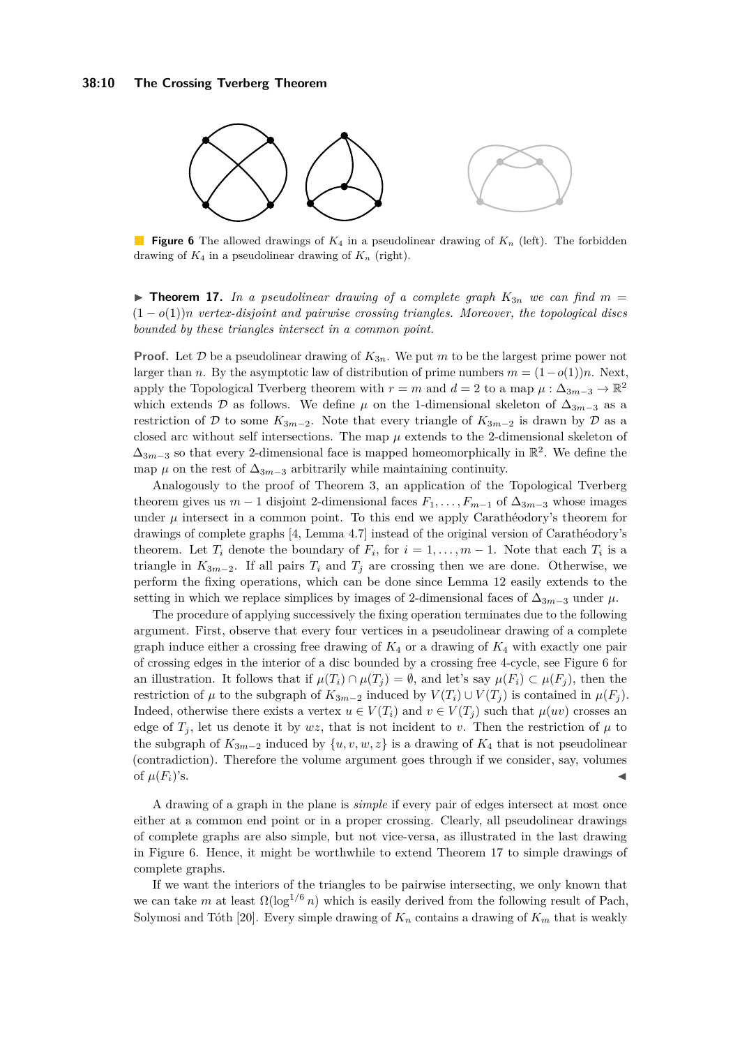<span id="page-9-0"></span>

**Figure 6** The allowed drawings of *K*<sup>4</sup> in a pseudolinear drawing of *K<sup>n</sup>* (left). The forbidden drawing of  $K_4$  in a pseudolinear drawing of  $K_n$  (right).

<span id="page-9-1"></span>**Findamentary 17.** In a pseudolinear drawing of a complete graph  $K_{3n}$  we can find  $m =$ (1 − *o*(1))*n vertex-disjoint and pairwise crossing triangles. Moreover, the topological discs bounded by these triangles intersect in a common point.*

**Proof.** Let  $D$  be a pseudolinear drawing of  $K_{3n}$ . We put  $m$  to be the largest prime power not larger than *n*. By the asymptotic law of distribution of prime numbers  $m = (1 - o(1))n$ . Next, apply the Topological Tverberg theorem with  $r = m$  and  $d = 2$  to a map  $\mu : \Delta_{3m-3} \to \mathbb{R}^2$ which extends D as follows. We define  $\mu$  on the 1-dimensional skeleton of  $\Delta_{3m-3}$  as a restriction of D to some  $K_{3m-2}$ . Note that every triangle of  $K_{3m-2}$  is drawn by D as a closed arc without self intersections. The map  $\mu$  extends to the 2-dimensional skeleton of  $\Delta_{3m-3}$  so that every 2-dimensional face is mapped homeomorphically in  $\mathbb{R}^2$ . We define the map  $\mu$  on the rest of  $\Delta_{3m-3}$  arbitrarily while maintaining continuity.

Analogously to the proof of Theorem [3,](#page-2-1) an application of the Topological Tverberg theorem gives us  $m-1$  disjoint 2-dimensional faces  $F_1, \ldots, F_{m-1}$  of  $\Delta_{3m-3}$  whose images under  $\mu$  intersect in a common point. To this end we apply Carathéodory's theorem for drawings of complete graphs [\[4,](#page-11-6) Lemma 4.7] instead of the original version of Carathéodory's theorem. Let  $T_i$  denote the boundary of  $F_i$ , for  $i = 1, \ldots, m-1$ . Note that each  $T_i$  is a triangle in  $K_{3m-2}$ . If all pairs  $T_i$  and  $T_j$  are crossing then we are done. Otherwise, we perform the fixing operations, which can be done since Lemma [12](#page-6-1) easily extends to the setting in which we replace simplices by images of 2-dimensional faces of  $\Delta_{3m-3}$  under  $\mu$ .

The procedure of applying successively the fixing operation terminates due to the following argument. First, observe that every four vertices in a pseudolinear drawing of a complete graph induce either a crossing free drawing of  $K_4$  or a drawing of  $K_4$  with exactly one pair of crossing edges in the interior of a disc bounded by a crossing free 4-cycle, see Figure [6](#page-9-0) for an illustration. It follows that if  $\mu(T_i) \cap \mu(T_i) = \emptyset$ , and let's say  $\mu(F_i) \subset \mu(F_i)$ , then the restriction of  $\mu$  to the subgraph of  $K_{3m-2}$  induced by  $V(T_i) \cup V(T_j)$  is contained in  $\mu(F_j)$ . Indeed, otherwise there exists a vertex  $u \in V(T_i)$  and  $v \in V(T_j)$  such that  $\mu(uv)$  crosses an edge of  $T_i$ , let us denote it by  $wz$ , that is not incident to *v*. Then the restriction of  $\mu$  to the subgraph of  $K_{3m-2}$  induced by  $\{u, v, w, z\}$  is a drawing of  $K_4$  that is not pseudolinear (contradiction). Therefore the volume argument goes through if we consider, say, volumes of  $\mu(F_i)$ 's.

A drawing of a graph in the plane is *simple* if every pair of edges intersect at most once either at a common end point or in a proper crossing. Clearly, all pseudolinear drawings of complete graphs are also simple, but not vice-versa, as illustrated in the last drawing in Figure [6.](#page-9-0) Hence, it might be worthwhile to extend Theorem [17](#page-9-1) to simple drawings of complete graphs.

If we want the interiors of the triangles to be pairwise intersecting, we only known that we can take *m* at least  $\Omega(\log^{1/6} n)$  which is easily derived from the following result of Pach, Solymosi and Tóth [\[20\]](#page-12-12). Every simple drawing of  $K_n$  contains a drawing of  $K_m$  that is weakly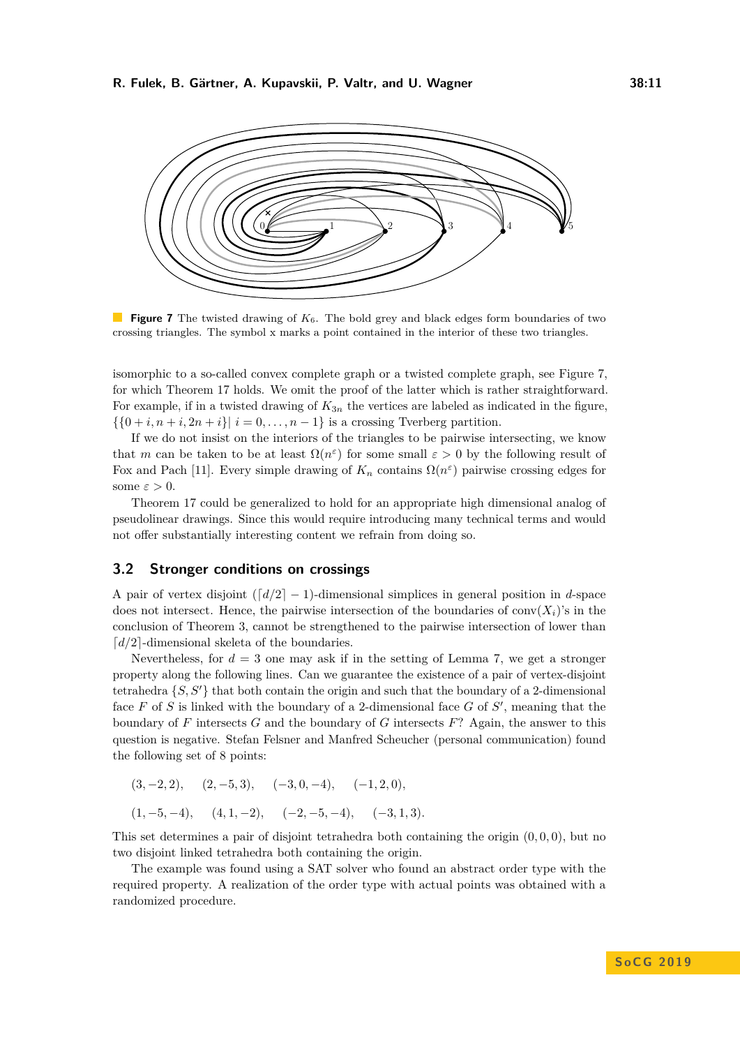<span id="page-10-1"></span>

**Figure 7** The twisted drawing of *K*6. The bold grey and black edges form boundaries of two crossing triangles. The symbol x marks a point contained in the interior of these two triangles.

isomorphic to a so-called convex complete graph or a twisted complete graph, see Figure [7,](#page-10-1) for which Theorem [17](#page-9-1) holds. We omit the proof of the latter which is rather straightforward. For example, if in a twisted drawing of  $K_{3n}$  the vertices are labeled as indicated in the figure,  $\{\{0+i, n+i, 2n+i\} \mid i=0,\ldots,n-1\}$  is a crossing Tverberg partition.

If we do not insist on the interiors of the triangles to be pairwise intersecting, we know that *m* can be taken to be at least  $\Omega(n^{\varepsilon})$  for some small  $\varepsilon > 0$  by the following result of Fox and Pach [\[11\]](#page-12-13). Every simple drawing of  $K_n$  contains  $\Omega(n^{\varepsilon})$  pairwise crossing edges for some  $\varepsilon > 0$ .

Theorem [17](#page-9-1) could be generalized to hold for an appropriate high dimensional analog of pseudolinear drawings. Since this would require introducing many technical terms and would not offer substantially interesting content we refrain from doing so.

# <span id="page-10-0"></span>**3.2 Stronger conditions on crossings**

A pair of vertex disjoint  $\left(\frac{d}{2} - 1\right)$ -dimensional simplices in general position in *d*-space does not intersect. Hence, the pairwise intersection of the boundaries of conv $(X_i)$ 's in the conclusion of Theorem [3,](#page-2-1) cannot be strengthened to the pairwise intersection of lower than  $\lceil d/2 \rceil$ -dimensional skeleta of the boundaries.

Nevertheless, for  $d = 3$  one may ask if in the setting of Lemma [7,](#page-3-1) we get a stronger property along the following lines. Can we guarantee the existence of a pair of vertex-disjoint tetrahedra  $\{S, S'\}$  that both contain the origin and such that the boundary of a 2-dimensional face  $F$  of  $S$  is linked with the boundary of a 2-dimensional face  $G$  of  $S'$ , meaning that the boundary of *F* intersects *G* and the boundary of *G* intersects *F*? Again, the answer to this question is negative. Stefan Felsner and Manfred Scheucher (personal communication) found the following set of 8 points:

$$
(3, -2, 2),
$$
  $(2, -5, 3),$   $(-3, 0, -4),$   $(-1, 2, 0),$   
 $(1, -5, -4),$   $(4, 1, -2),$   $(-2, -5, -4),$   $(-3, 1, 3).$ 

This set determines a pair of disjoint tetrahedra both containing the origin (0*,* 0*,* 0), but no two disjoint linked tetrahedra both containing the origin.

The example was found using a SAT solver who found an abstract order type with the required property. A realization of the order type with actual points was obtained with a randomized procedure.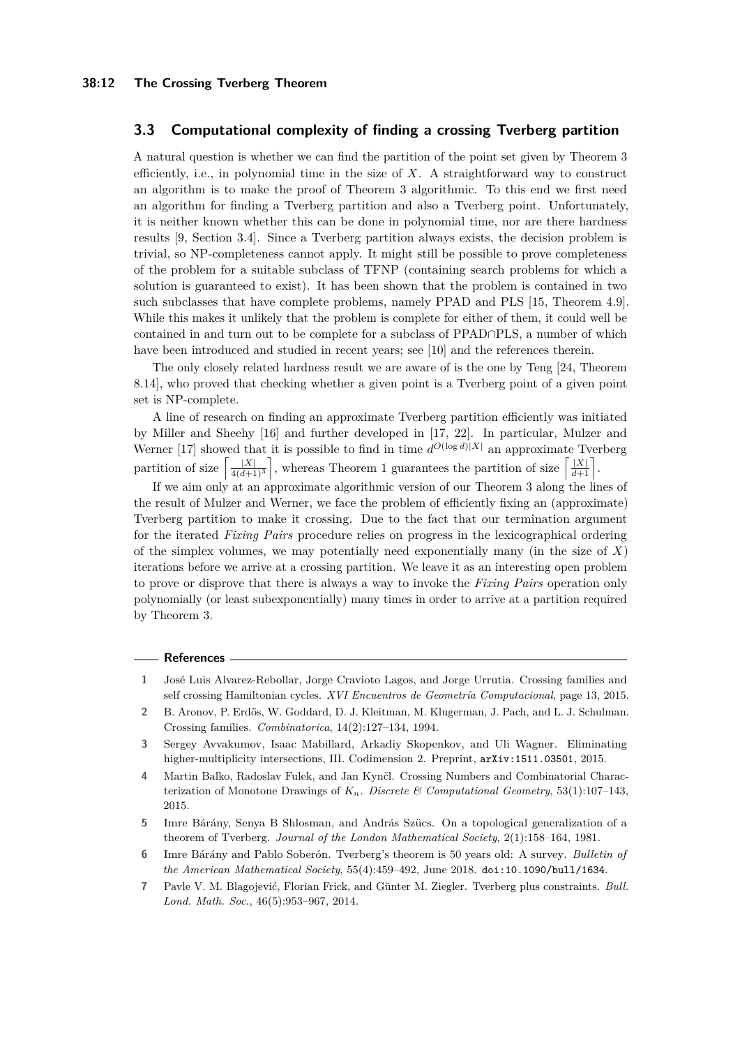## **3.3 Computational complexity of finding a crossing Tverberg partition**

A natural question is whether we can find the partition of the point set given by Theorem [3](#page-2-1) efficiently, i.e., in polynomial time in the size of *X*. A straightforward way to construct an algorithm is to make the proof of Theorem [3](#page-2-1) algorithmic. To this end we first need an algorithm for finding a Tverberg partition and also a Tverberg point. Unfortunately, it is neither known whether this can be done in polynomial time, nor are there hardness results [\[9,](#page-12-14) Section 3.4]. Since a Tverberg partition always exists, the decision problem is trivial, so NP-completeness cannot apply. It might still be possible to prove completeness of the problem for a suitable subclass of TFNP (containing search problems for which a solution is guaranteed to exist). It has been shown that the problem is contained in two such subclasses that have complete problems, namely PPAD and PLS [\[15,](#page-12-15) Theorem 4.9]. While this makes it unlikely that the problem is complete for either of them, it could well be contained in and turn out to be complete for a subclass of PPAD∩PLS, a number of which have been introduced and studied in recent years; see [\[10\]](#page-12-16) and the references therein.

The only closely related hardness result we are aware of is the one by Teng [\[24,](#page-12-17) Theorem 8.14], who proved that checking whether a given point is a Tverberg point of a given point set is NP-complete.

A line of research on finding an approximate Tverberg partition efficiently was initiated by Miller and Sheehy [\[16\]](#page-12-18) and further developed in [\[17,](#page-12-19) [22\]](#page-12-20). In particular, Mulzer and Werner [\[17\]](#page-12-19) showed that it is possible to find in time  $d^{O(\log d)|X|}$  an approximate Tverberg partition of size  $\left[\frac{|X|}{4(d+1)^3}\right]$ , whereas Theorem [1](#page-1-1) guarantees the partition of size  $\left[\frac{|X|}{d+1}\right]$ .

If we aim only at an approximate algorithmic version of our Theorem [3](#page-2-1) along the lines of the result of Mulzer and Werner, we face the problem of efficiently fixing an (approximate) Tverberg partition to make it crossing. Due to the fact that our termination argument for the iterated *Fixing Pairs* procedure relies on progress in the lexicographical ordering of the simplex volumes, we may potentially need exponentially many (in the size of  $X$ ) iterations before we arrive at a crossing partition. We leave it as an interesting open problem to prove or disprove that there is always a way to invoke the *Fixing Pairs* operation only polynomially (or least subexponentially) many times in order to arrive at a partition required by Theorem [3.](#page-2-1)

#### **References**

- <span id="page-11-2"></span>**1** José Luis Alvarez-Rebollar, Jorge Cravioto Lagos, and Jorge Urrutia. Crossing families and self crossing Hamiltonian cycles. *XVI Encuentros de Geometría Computacional*, page 13, 2015.
- <span id="page-11-1"></span>**2** B. Aronov, P. Erdős, W. Goddard, D. J. Kleitman, M. Klugerman, J. Pach, and L. J. Schulman. Crossing families. *Combinatorica*, 14(2):127–134, 1994.
- <span id="page-11-5"></span>**3** Sergey Avvakumov, Isaac Mabillard, Arkadiy Skopenkov, and Uli Wagner. Eliminating higher-multiplicity intersections, III. Codimension 2. Preprint,  $arXiv:1511.03501$ , 2015.
- <span id="page-11-6"></span>**4** Martin Balko, Radoslav Fulek, and Jan Kynčl. Crossing Numbers and Combinatorial Characterization of Monotone Drawings of  $K_n$ . *Discrete & Computational Geometry*, 53(1):107–143, 2015.
- <span id="page-11-3"></span>**5** Imre Bárány, Senya B Shlosman, and András Szücs. On a topological generalization of a theorem of Tverberg. *Journal of the London Mathematical Society*, 2(1):158–164, 1981.
- <span id="page-11-0"></span>**6** Imre Bárány and Pablo Soberón. Tverberg's theorem is 50 years old: A survey. *Bulletin of the American Mathematical Society*, 55(4):459–492, June 2018. [doi:10.1090/bull/1634](http://dx.doi.org/10.1090/bull/1634).
- <span id="page-11-4"></span>**7** Pavle V. M. Blagojević, Florian Frick, and Günter M. Ziegler. Tverberg plus constraints. *Bull. Lond. Math. Soc.*, 46(5):953–967, 2014.